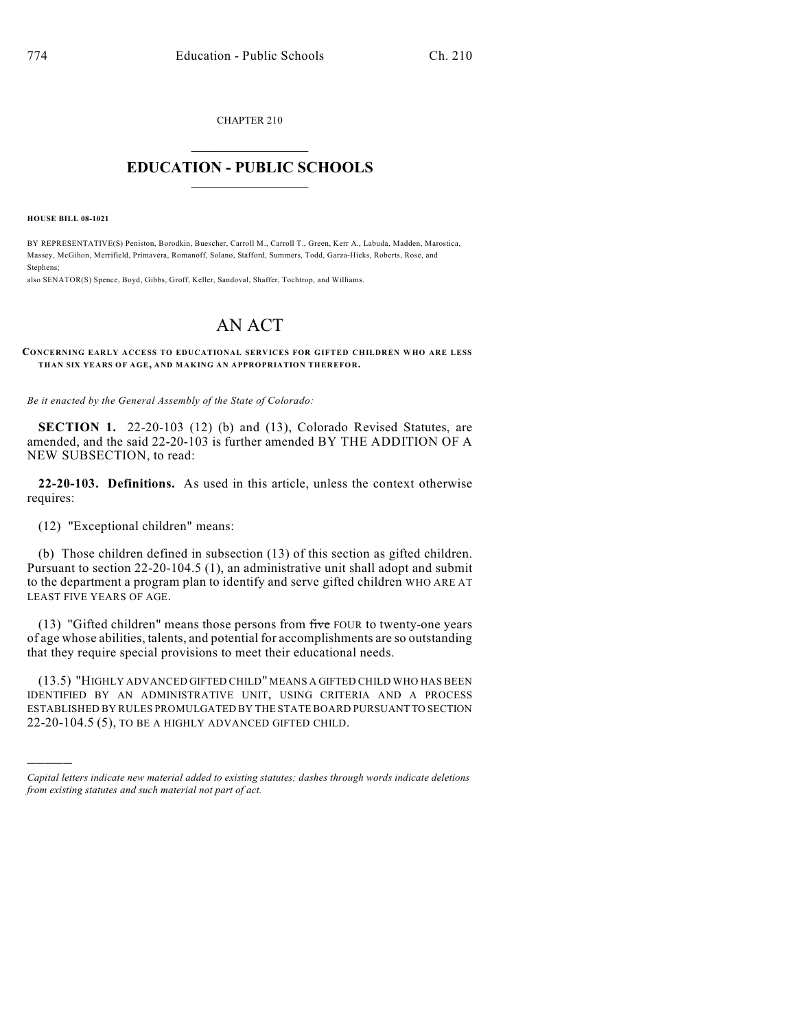CHAPTER 210

## $\mathcal{L}_\text{max}$  . The set of the set of the set of the set of the set of the set of the set of the set of the set of the set of the set of the set of the set of the set of the set of the set of the set of the set of the set **EDUCATION - PUBLIC SCHOOLS**  $\_$   $\_$   $\_$   $\_$   $\_$   $\_$   $\_$   $\_$   $\_$

**HOUSE BILL 08-1021**

)))))

BY REPRESENTATIVE(S) Peniston, Borodkin, Buescher, Carroll M., Carroll T., Green, Kerr A., Labuda, Madden, Marostica, Massey, McGihon, Merrifield, Primavera, Romanoff, Solano, Stafford, Summers, Todd, Garza-Hicks, Roberts, Rose, and Stephens;

also SENATOR(S) Spence, Boyd, Gibbs, Groff, Keller, Sandoval, Shaffer, Tochtrop, and Williams.

## AN ACT

**CONCERNING EARLY ACCESS TO EDUCATIONAL SERVICES FOR GIFTED CHILDREN WHO ARE LESS THAN SIX YEARS OF AGE, AND MAKING AN APPROPRIATION THEREFOR.**

*Be it enacted by the General Assembly of the State of Colorado:*

**SECTION 1.** 22-20-103 (12) (b) and (13), Colorado Revised Statutes, are amended, and the said 22-20-103 is further amended BY THE ADDITION OF A NEW SUBSECTION, to read:

**22-20-103. Definitions.** As used in this article, unless the context otherwise requires:

(12) "Exceptional children" means:

(b) Those children defined in subsection (13) of this section as gifted children. Pursuant to section 22-20-104.5 (1), an administrative unit shall adopt and submit to the department a program plan to identify and serve gifted children WHO ARE AT LEAST FIVE YEARS OF AGE.

(13) "Gifted children" means those persons from  $f<sup>†</sup>$  four to twenty-one years of age whose abilities, talents, and potential for accomplishments are so outstanding that they require special provisions to meet their educational needs.

(13.5) "HIGHLY ADVANCED GIFTED CHILD" MEANS A GIFTED CHILD WHO HAS BEEN IDENTIFIED BY AN ADMINISTRATIVE UNIT, USING CRITERIA AND A PROCESS ESTABLISHED BY RULES PROMULGATED BY THE STATE BOARD PURSUANT TO SECTION 22-20-104.5 (5), TO BE A HIGHLY ADVANCED GIFTED CHILD.

*Capital letters indicate new material added to existing statutes; dashes through words indicate deletions from existing statutes and such material not part of act.*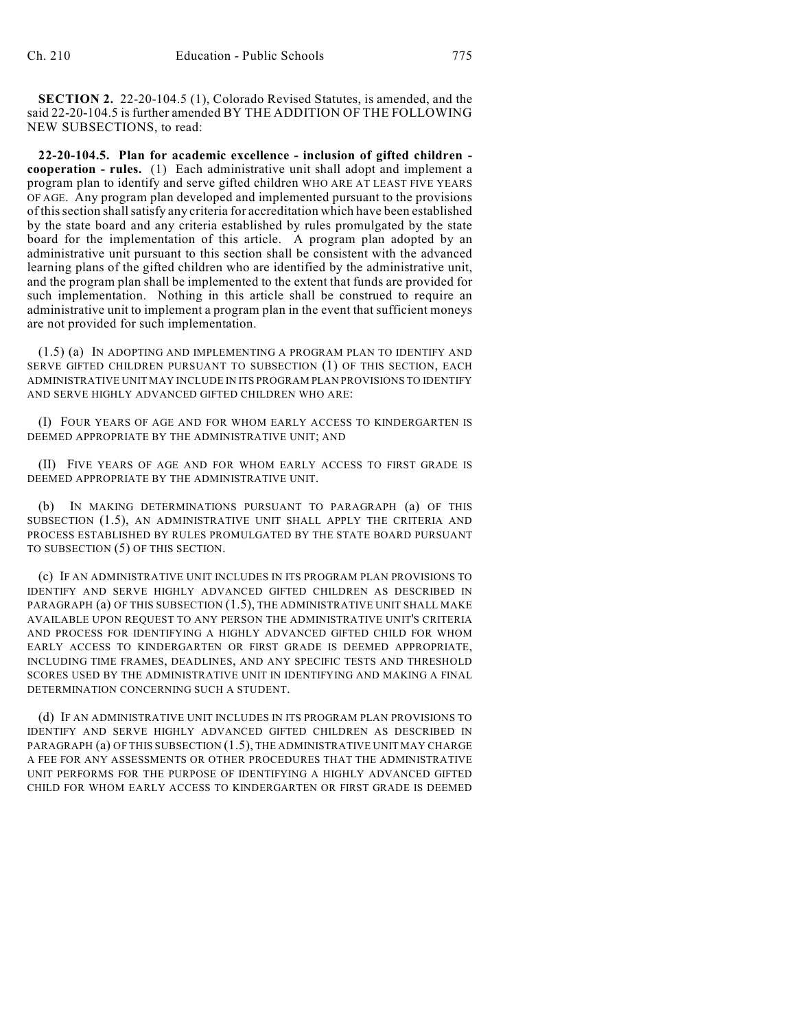**SECTION 2.** 22-20-104.5 (1), Colorado Revised Statutes, is amended, and the said 22-20-104.5 is further amended BY THE ADDITION OF THE FOLLOWING NEW SUBSECTIONS, to read:

**22-20-104.5. Plan for academic excellence - inclusion of gifted children cooperation - rules.** (1) Each administrative unit shall adopt and implement a program plan to identify and serve gifted children WHO ARE AT LEAST FIVE YEARS OF AGE. Any program plan developed and implemented pursuant to the provisions of this section shall satisfy any criteria for accreditation which have been established by the state board and any criteria established by rules promulgated by the state board for the implementation of this article. A program plan adopted by an administrative unit pursuant to this section shall be consistent with the advanced learning plans of the gifted children who are identified by the administrative unit, and the program plan shall be implemented to the extent that funds are provided for such implementation. Nothing in this article shall be construed to require an administrative unit to implement a program plan in the event that sufficient moneys are not provided for such implementation.

(1.5) (a) IN ADOPTING AND IMPLEMENTING A PROGRAM PLAN TO IDENTIFY AND SERVE GIFTED CHILDREN PURSUANT TO SUBSECTION (1) OF THIS SECTION, EACH ADMINISTRATIVE UNIT MAY INCLUDE IN ITS PROGRAM PLAN PROVISIONS TO IDENTIFY AND SERVE HIGHLY ADVANCED GIFTED CHILDREN WHO ARE:

(I) FOUR YEARS OF AGE AND FOR WHOM EARLY ACCESS TO KINDERGARTEN IS DEEMED APPROPRIATE BY THE ADMINISTRATIVE UNIT; AND

(II) FIVE YEARS OF AGE AND FOR WHOM EARLY ACCESS TO FIRST GRADE IS DEEMED APPROPRIATE BY THE ADMINISTRATIVE UNIT.

(b) IN MAKING DETERMINATIONS PURSUANT TO PARAGRAPH (a) OF THIS SUBSECTION (1.5), AN ADMINISTRATIVE UNIT SHALL APPLY THE CRITERIA AND PROCESS ESTABLISHED BY RULES PROMULGATED BY THE STATE BOARD PURSUANT TO SUBSECTION (5) OF THIS SECTION.

(c) IF AN ADMINISTRATIVE UNIT INCLUDES IN ITS PROGRAM PLAN PROVISIONS TO IDENTIFY AND SERVE HIGHLY ADVANCED GIFTED CHILDREN AS DESCRIBED IN PARAGRAPH (a) OF THIS SUBSECTION (1.5), THE ADMINISTRATIVE UNIT SHALL MAKE AVAILABLE UPON REQUEST TO ANY PERSON THE ADMINISTRATIVE UNIT'S CRITERIA AND PROCESS FOR IDENTIFYING A HIGHLY ADVANCED GIFTED CHILD FOR WHOM EARLY ACCESS TO KINDERGARTEN OR FIRST GRADE IS DEEMED APPROPRIATE, INCLUDING TIME FRAMES, DEADLINES, AND ANY SPECIFIC TESTS AND THRESHOLD SCORES USED BY THE ADMINISTRATIVE UNIT IN IDENTIFYING AND MAKING A FINAL DETERMINATION CONCERNING SUCH A STUDENT.

(d) IF AN ADMINISTRATIVE UNIT INCLUDES IN ITS PROGRAM PLAN PROVISIONS TO IDENTIFY AND SERVE HIGHLY ADVANCED GIFTED CHILDREN AS DESCRIBED IN PARAGRAPH (a) OF THIS SUBSECTION (1.5), THE ADMINISTRATIVE UNIT MAY CHARGE A FEE FOR ANY ASSESSMENTS OR OTHER PROCEDURES THAT THE ADMINISTRATIVE UNIT PERFORMS FOR THE PURPOSE OF IDENTIFYING A HIGHLY ADVANCED GIFTED CHILD FOR WHOM EARLY ACCESS TO KINDERGARTEN OR FIRST GRADE IS DEEMED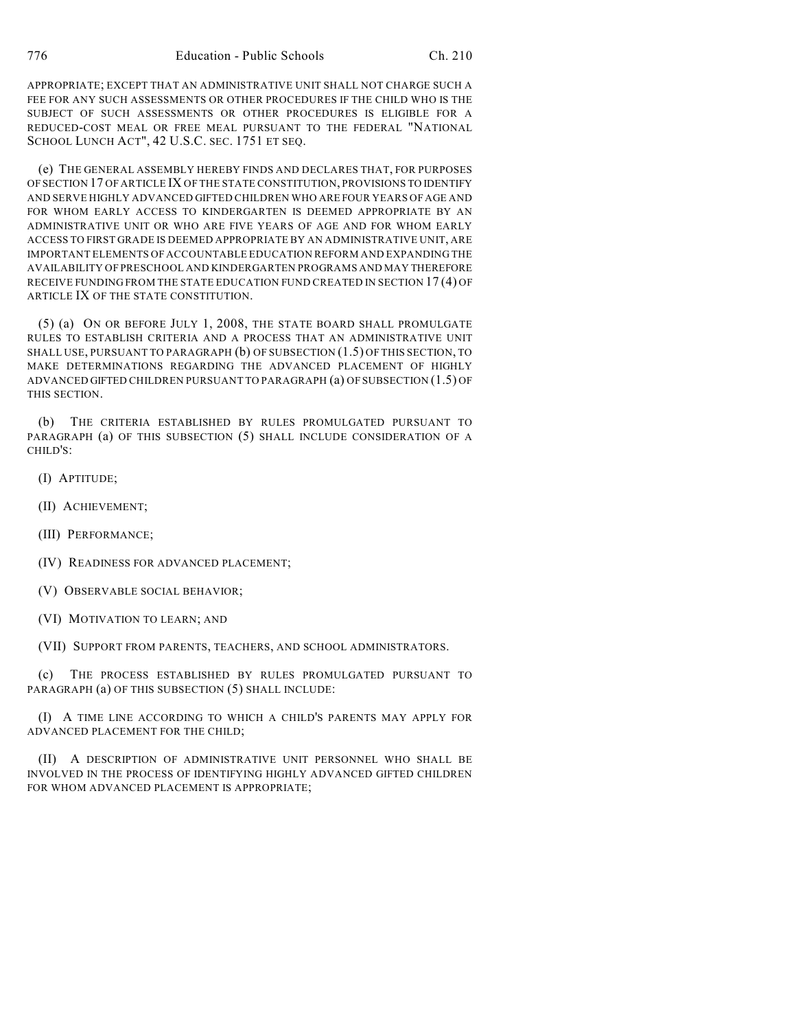APPROPRIATE; EXCEPT THAT AN ADMINISTRATIVE UNIT SHALL NOT CHARGE SUCH A FEE FOR ANY SUCH ASSESSMENTS OR OTHER PROCEDURES IF THE CHILD WHO IS THE SUBJECT OF SUCH ASSESSMENTS OR OTHER PROCEDURES IS ELIGIBLE FOR A REDUCED-COST MEAL OR FREE MEAL PURSUANT TO THE FEDERAL "NATIONAL SCHOOL LUNCH ACT", 42 U.S.C. SEC. 1751 ET SEQ.

(e) THE GENERAL ASSEMBLY HEREBY FINDS AND DECLARES THAT, FOR PURPOSES OF SECTION 17 OF ARTICLE IX OF THE STATE CONSTITUTION, PROVISIONS TO IDENTIFY AND SERVE HIGHLY ADVANCED GIFTED CHILDREN WHO ARE FOUR YEARS OF AGE AND FOR WHOM EARLY ACCESS TO KINDERGARTEN IS DEEMED APPROPRIATE BY AN ADMINISTRATIVE UNIT OR WHO ARE FIVE YEARS OF AGE AND FOR WHOM EARLY ACCESS TO FIRST GRADE IS DEEMED APPROPRIATE BY AN ADMINISTRATIVE UNIT, ARE IMPORTANT ELEMENTS OF ACCOUNTABLE EDUCATION REFORM AND EXPANDING THE AVAILABILITY OF PRESCHOOL AND KINDERGARTEN PROGRAMS AND MAY THEREFORE RECEIVE FUNDING FROM THE STATE EDUCATION FUND CREATED IN SECTION 17 (4) OF ARTICLE IX OF THE STATE CONSTITUTION.

(5) (a) ON OR BEFORE JULY 1, 2008, THE STATE BOARD SHALL PROMULGATE RULES TO ESTABLISH CRITERIA AND A PROCESS THAT AN ADMINISTRATIVE UNIT SHALL USE, PURSUANT TO PARAGRAPH (b) OF SUBSECTION (1.5) OF THIS SECTION, TO MAKE DETERMINATIONS REGARDING THE ADVANCED PLACEMENT OF HIGHLY ADVANCED GIFTED CHILDREN PURSUANT TO PARAGRAPH (a) OF SUBSECTION (1.5) OF THIS SECTION.

(b) THE CRITERIA ESTABLISHED BY RULES PROMULGATED PURSUANT TO PARAGRAPH (a) OF THIS SUBSECTION (5) SHALL INCLUDE CONSIDERATION OF A CHILD'S:

- (I) APTITUDE;
- (II) ACHIEVEMENT;
- (III) PERFORMANCE;
- (IV) READINESS FOR ADVANCED PLACEMENT;
- (V) OBSERVABLE SOCIAL BEHAVIOR;
- (VI) MOTIVATION TO LEARN; AND

(VII) SUPPORT FROM PARENTS, TEACHERS, AND SCHOOL ADMINISTRATORS.

(c) THE PROCESS ESTABLISHED BY RULES PROMULGATED PURSUANT TO PARAGRAPH (a) OF THIS SUBSECTION (5) SHALL INCLUDE:

(I) A TIME LINE ACCORDING TO WHICH A CHILD'S PARENTS MAY APPLY FOR ADVANCED PLACEMENT FOR THE CHILD;

(II) A DESCRIPTION OF ADMINISTRATIVE UNIT PERSONNEL WHO SHALL BE INVOLVED IN THE PROCESS OF IDENTIFYING HIGHLY ADVANCED GIFTED CHILDREN FOR WHOM ADVANCED PLACEMENT IS APPROPRIATE;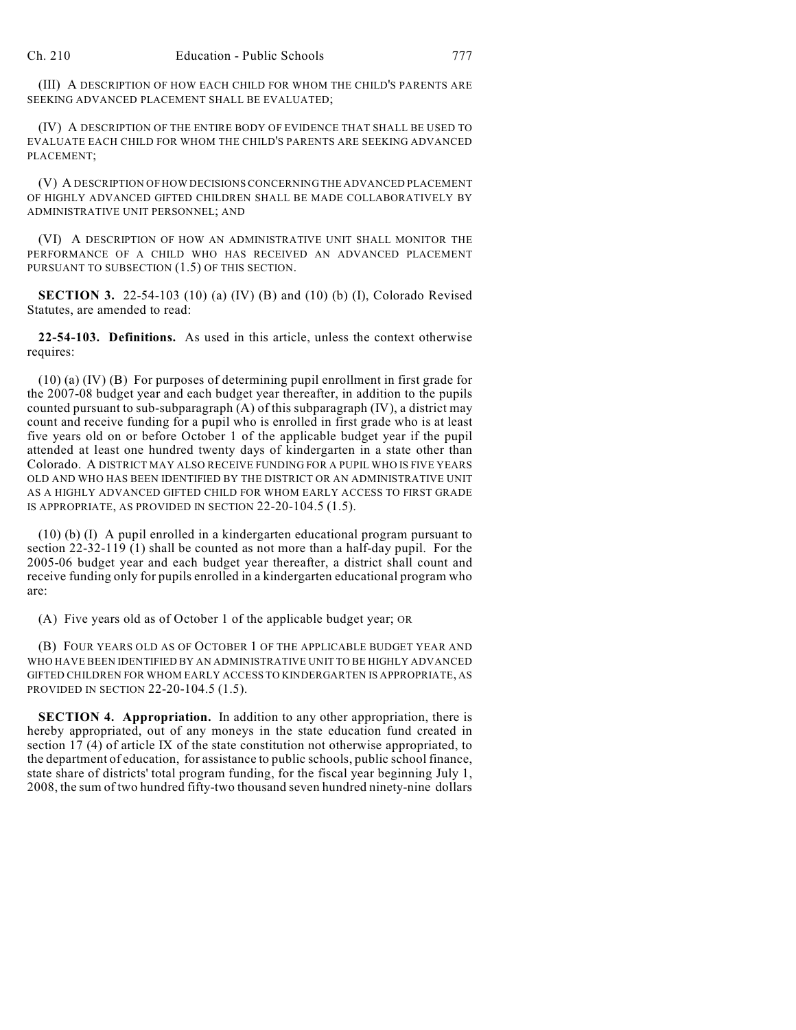(III) A DESCRIPTION OF HOW EACH CHILD FOR WHOM THE CHILD'S PARENTS ARE SEEKING ADVANCED PLACEMENT SHALL BE EVALUATED;

(IV) A DESCRIPTION OF THE ENTIRE BODY OF EVIDENCE THAT SHALL BE USED TO EVALUATE EACH CHILD FOR WHOM THE CHILD'S PARENTS ARE SEEKING ADVANCED PLACEMENT;

(V) A DESCRIPTION OF HOW DECISIONS CONCERNING THE ADVANCED PLACEMENT OF HIGHLY ADVANCED GIFTED CHILDREN SHALL BE MADE COLLABORATIVELY BY ADMINISTRATIVE UNIT PERSONNEL; AND

(VI) A DESCRIPTION OF HOW AN ADMINISTRATIVE UNIT SHALL MONITOR THE PERFORMANCE OF A CHILD WHO HAS RECEIVED AN ADVANCED PLACEMENT PURSUANT TO SUBSECTION  $(1.5)$  OF THIS SECTION.

**SECTION 3.** 22-54-103 (10) (a) (IV) (B) and (10) (b) (I), Colorado Revised Statutes, are amended to read:

**22-54-103. Definitions.** As used in this article, unless the context otherwise requires:

(10) (a) (IV) (B) For purposes of determining pupil enrollment in first grade for the 2007-08 budget year and each budget year thereafter, in addition to the pupils counted pursuant to sub-subparagraph (A) of this subparagraph (IV), a district may count and receive funding for a pupil who is enrolled in first grade who is at least five years old on or before October 1 of the applicable budget year if the pupil attended at least one hundred twenty days of kindergarten in a state other than Colorado. A DISTRICT MAY ALSO RECEIVE FUNDING FOR A PUPIL WHO IS FIVE YEARS OLD AND WHO HAS BEEN IDENTIFIED BY THE DISTRICT OR AN ADMINISTRATIVE UNIT AS A HIGHLY ADVANCED GIFTED CHILD FOR WHOM EARLY ACCESS TO FIRST GRADE IS APPROPRIATE, AS PROVIDED IN SECTION 22-20-104.5 (1.5).

(10) (b) (I) A pupil enrolled in a kindergarten educational program pursuant to section 22-32-119 (1) shall be counted as not more than a half-day pupil. For the 2005-06 budget year and each budget year thereafter, a district shall count and receive funding only for pupils enrolled in a kindergarten educational program who are:

(A) Five years old as of October 1 of the applicable budget year; OR

(B) FOUR YEARS OLD AS OF OCTOBER 1 OF THE APPLICABLE BUDGET YEAR AND WHO HAVE BEEN IDENTIFIED BY AN ADMINISTRATIVE UNIT TO BE HIGHLY ADVANCED GIFTED CHILDREN FOR WHOM EARLY ACCESS TO KINDERGARTEN IS APPROPRIATE, AS PROVIDED IN SECTION 22-20-104.5 (1.5).

**SECTION 4. Appropriation.** In addition to any other appropriation, there is hereby appropriated, out of any moneys in the state education fund created in section 17 (4) of article IX of the state constitution not otherwise appropriated, to the department of education, for assistance to public schools, public school finance, state share of districts' total program funding, for the fiscal year beginning July 1, 2008, the sum of two hundred fifty-two thousand seven hundred ninety-nine dollars